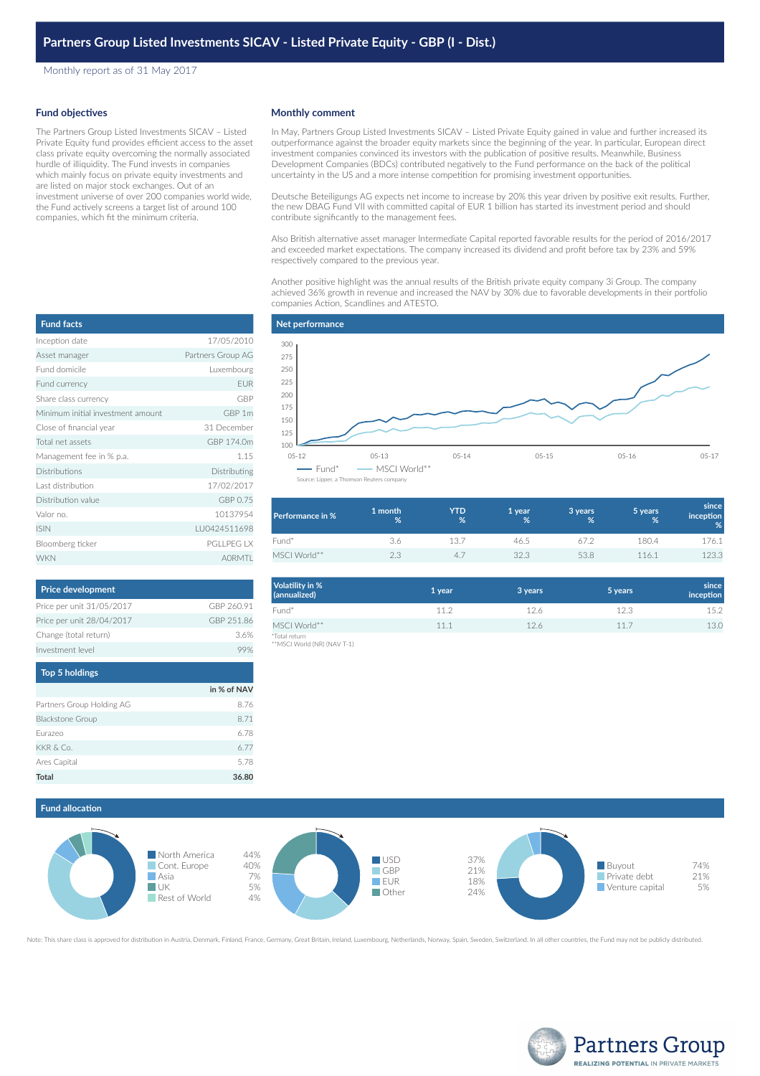Monthly report as of 31 May 2017

### **Fund objectives**

The Partners Group Listed Investments SICAV – Listed Private Equity fund provides efficient access to the asset class private equity overcoming the normally associated hurdle of illiquidity. The Fund invests in companies which mainly focus on private equity investments and are listed on major stock exchanges. Out of an investment universe of over 200 companies world wide, the Fund actively screens a target list of around 100 companies, which fit the minimum criteria.

#### **Monthly comment**

In May, Partners Group Listed Investments SICAV – Listed Private Equity gained in value and further increased its outperformance against the broader equity markets since the beginning of the year. In particular, European direct investment companies convinced its investors with the publication of positive results. Meanwhile, Business Development Companies (BDCs) contributed negatively to the Fund performance on the back of the political uncertainty in the US and a more intense competition for promising investment opportunities.

Deutsche Beteiligungs AG expects net income to increase by 20% this year driven by positive exit results. Further, the new DBAG Fund VII with committed capital of EUR 1 billion has started its investment period and should contribute significantly to the management fees.

Also British alternative asset manager Intermediate Capital reported favorable results for the period of 2016/2017 and exceeded market expectations. The company increased its dividend and profit before tax by 23% and 59% respectively compared to the previous year.

Another positive highlight was the annual results of the British private equity company 3i Group. The company achieved 36% growth in revenue and increased the NAV by 30% due to favorable developments in their portfolio companies Action, Scandlines and ATESTO.



| Performance in % | 1 month<br>% | YTD<br>% | 1 year<br>% | 3 years<br>% | 5 years<br>% | since<br>inception<br>% |
|------------------|--------------|----------|-------------|--------------|--------------|-------------------------|
| Fund*            | 3.6          | 13.7     | 46.5        | 67.2         | 180.4        | 176.1                   |
| MSCI World**     | 2.3          | 4.       | 32.3        | 53.8         | 116.1        | 123.3                   |

| Volatility in %<br>(annualized)              | 1 year | 3 years | 5 years | since<br>inception |
|----------------------------------------------|--------|---------|---------|--------------------|
| Fund*                                        | 11.2   | 12.6    | 12.3    | 15.2               |
| MSCI World**                                 | 11.1   | 12.6    | 11.7    | 13.0               |
| *Total return<br>**MSCI World (NR) (NAV T-1) |        |         |         |                    |

# **Fund allocation** North America 44%



Note: This share class is approved for distribution in Austria, Denmark, Finland, France, Germany, Great Britain, Ireland, Luxembourg, Netherlands, Norway, Spain, Sweden, Switzerland. In all other countries, the Fund may n



| <b>Fund facts</b>                 |                   |
|-----------------------------------|-------------------|
| Inception date                    | 17/05/2010        |
| Asset manager                     | Partners Group AG |
| Fund domicile                     | Luxembourg        |
| Fund currency                     | EUR               |
| Share class currency              | <b>GBP</b>        |
| Minimum initial investment amount | GBP 1m            |
| Close of financial year           | 31 December       |
| Total net assets                  | GBP 174.0m        |
| Management fee in % p.a.          | 1.15              |
| Distributions                     | Distributing      |
| Last distribution                 | 17/02/2017        |
| Distribution value                | GBP 0.75          |
| Valor no.                         | 10137954          |
| <b>ISIN</b>                       | LU0424511698      |
| Bloomberg ticker                  | <b>PGLLPEG LX</b> |
| <b>WKN</b>                        | <b>AORMTI</b>     |

| <b>Price development</b>  |            |
|---------------------------|------------|
| Price per unit 31/05/2017 | GBP 260.91 |
| Price per unit 28/04/2017 | GBP 251.86 |
| Change (total return)     | 36%        |
| Investment level          |            |

| Top 5 holdings            |             |
|---------------------------|-------------|
|                           | in % of NAV |
| Partners Group Holding AG | 8.76        |
| <b>Blackstone Group</b>   | 8.71        |
| Eurazeo                   | 6.78        |
| KKR & Co.                 | 6.77        |
| Ares Capital              | 5.78        |
| Total                     | 36.80       |